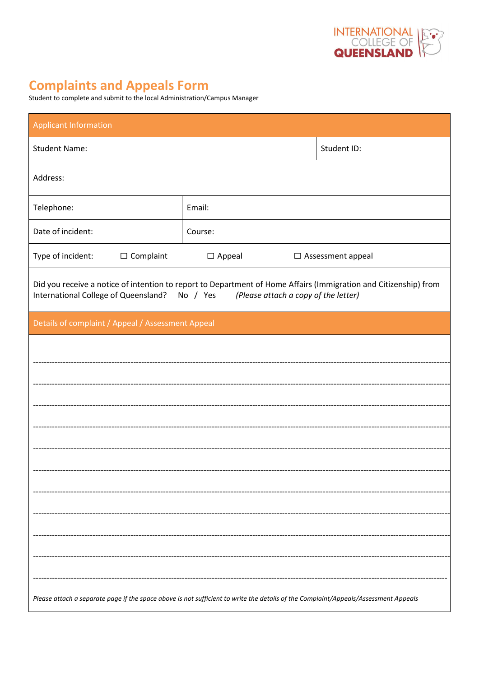

## **Complaints and Appeals Form**

| Student to complete and submit to the local Administration/Campus Manager |  |
|---------------------------------------------------------------------------|--|
|---------------------------------------------------------------------------|--|

| <b>Applicant Information</b>                                                                                                                                                                           |               |                          |  |  |
|--------------------------------------------------------------------------------------------------------------------------------------------------------------------------------------------------------|---------------|--------------------------|--|--|
| <b>Student Name:</b>                                                                                                                                                                                   | Student ID:   |                          |  |  |
| Address:                                                                                                                                                                                               |               |                          |  |  |
| Telephone:                                                                                                                                                                                             | Email:        |                          |  |  |
| Date of incident:                                                                                                                                                                                      | Course:       |                          |  |  |
| Type of incident:<br>$\Box$ Complaint                                                                                                                                                                  | $\Box$ Appeal | $\Box$ Assessment appeal |  |  |
| Did you receive a notice of intention to report to Department of Home Affairs (Immigration and Citizenship) from<br>International College of Queensland? No / Yes (Please attach a copy of the letter) |               |                          |  |  |
| Details of complaint / Appeal / Assessment Appeal                                                                                                                                                      |               |                          |  |  |
|                                                                                                                                                                                                        |               |                          |  |  |
|                                                                                                                                                                                                        |               |                          |  |  |
|                                                                                                                                                                                                        |               |                          |  |  |
|                                                                                                                                                                                                        |               |                          |  |  |
|                                                                                                                                                                                                        |               |                          |  |  |
|                                                                                                                                                                                                        |               |                          |  |  |
|                                                                                                                                                                                                        |               |                          |  |  |
|                                                                                                                                                                                                        |               |                          |  |  |
|                                                                                                                                                                                                        |               |                          |  |  |
|                                                                                                                                                                                                        |               |                          |  |  |
|                                                                                                                                                                                                        |               |                          |  |  |
| Please attach a separate page if the space above is not sufficient to write the details of the Complaint/Appeals/Assessment Appeals                                                                    |               |                          |  |  |